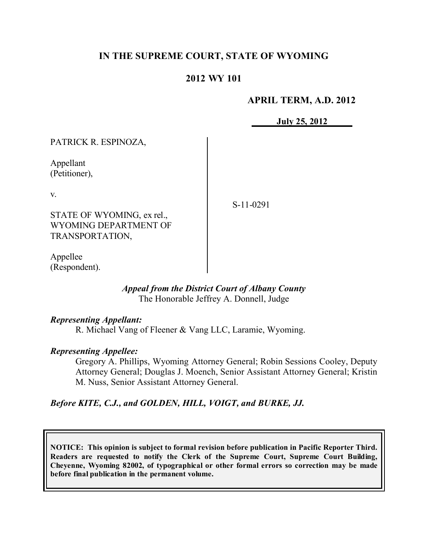# **IN THE SUPREME COURT, STATE OF WYOMING**

## **2012 WY 101**

### **APRIL TERM, A.D. 2012**

**July 25, 2012**

| PATRICK R. ESPINOZA,       |             |
|----------------------------|-------------|
| Appellant<br>(Petitioner), |             |
| V.                         | $S-11-0291$ |
| STATE OF WYOMING, ex rel., |             |
| WYOMING DEPARTMENT OF      |             |
| TRANSPORTATION,            |             |
|                            |             |

Appellee (Respondent).

#### *Appeal from the District Court of Albany County* The Honorable Jeffrey A. Donnell, Judge

#### *Representing Appellant:*

R. Michael Vang of Fleener & Vang LLC, Laramie, Wyoming.

### *Representing Appellee:*

Gregory A. Phillips, Wyoming Attorney General; Robin Sessions Cooley, Deputy Attorney General; Douglas J. Moench, Senior Assistant Attorney General; Kristin M. Nuss, Senior Assistant Attorney General.

### *Before KITE, C.J., and GOLDEN, HILL, VOIGT, and BURKE, JJ.*

**NOTICE: This opinion is subject to formal revision before publication in Pacific Reporter Third. Readers are requested to notify the Clerk of the Supreme Court, Supreme Court Building, Cheyenne, Wyoming 82002, of typographical or other formal errors so correction may be made before final publication in the permanent volume.**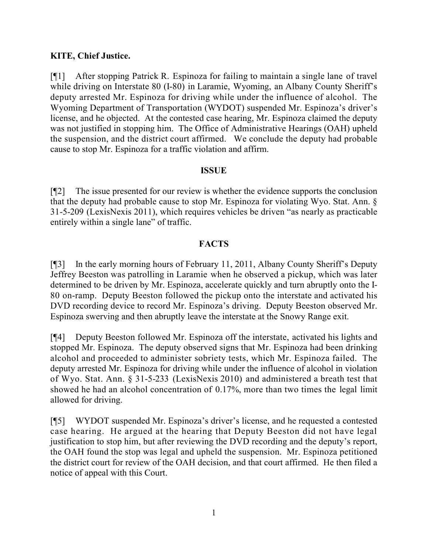## **KITE, Chief Justice.**

[¶1] After stopping Patrick R. Espinoza for failing to maintain a single lane of travel while driving on Interstate 80 (I-80) in Laramie, Wyoming, an Albany County Sheriff's deputy arrested Mr. Espinoza for driving while under the influence of alcohol. The Wyoming Department of Transportation (WYDOT) suspended Mr. Espinoza's driver's license, and he objected. At the contested case hearing, Mr. Espinoza claimed the deputy was not justified in stopping him. The Office of Administrative Hearings (OAH) upheld the suspension, and the district court affirmed. We conclude the deputy had probable cause to stop Mr. Espinoza for a traffic violation and affirm.

### **ISSUE**

[¶2] The issue presented for our review is whether the evidence supports the conclusion that the deputy had probable cause to stop Mr. Espinoza for violating Wyo. Stat. Ann. § 31-5-209 (LexisNexis 2011), which requires vehicles be driven "as nearly as practicable entirely within a single lane" of traffic.

# **FACTS**

[¶3] In the early morning hours of February 11, 2011, Albany County Sheriff's Deputy Jeffrey Beeston was patrolling in Laramie when he observed a pickup, which was later determined to be driven by Mr. Espinoza, accelerate quickly and turn abruptly onto the I-80 on-ramp. Deputy Beeston followed the pickup onto the interstate and activated his DVD recording device to record Mr. Espinoza's driving. Deputy Beeston observed Mr. Espinoza swerving and then abruptly leave the interstate at the Snowy Range exit.

[¶4] Deputy Beeston followed Mr. Espinoza off the interstate, activated his lights and stopped Mr. Espinoza. The deputy observed signs that Mr. Espinoza had been drinking alcohol and proceeded to administer sobriety tests, which Mr. Espinoza failed. The deputy arrested Mr. Espinoza for driving while under the influence of alcohol in violation of Wyo. Stat. Ann. § 31-5-233 (LexisNexis 2010) and administered a breath test that showed he had an alcohol concentration of 0.17%, more than two times the legal limit allowed for driving.

[¶5] WYDOT suspended Mr. Espinoza's driver's license, and he requested a contested case hearing. He argued at the hearing that Deputy Beeston did not have legal justification to stop him, but after reviewing the DVD recording and the deputy's report, the OAH found the stop was legal and upheld the suspension. Mr. Espinoza petitioned the district court for review of the OAH decision, and that court affirmed. He then filed a notice of appeal with this Court.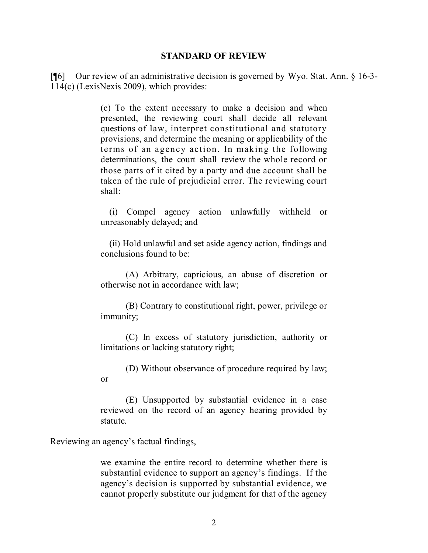#### **STANDARD OF REVIEW**

[¶6] Our review of an administrative decision is governed by Wyo. Stat. Ann. § 16-3- 114(c) (LexisNexis 2009), which provides:

> (c) To the extent necessary to make a decision and when presented, the reviewing court shall decide all relevant questions of law, interpret constitutional and statutory provisions, and determine the meaning or applicability of the terms of an agency action. In making the following determinations, the court shall review the whole record or those parts of it cited by a party and due account shall be taken of the rule of prejudicial error. The reviewing court shall:

> (i) Compel agency action unlawfully withheld or unreasonably delayed; and

> (ii) Hold unlawful and set aside agency action, findings and conclusions found to be:

> (A) Arbitrary, capricious, an abuse of discretion or otherwise not in accordance with law;

> (B) Contrary to constitutional right, power, privilege or immunity;

> (C) In excess of statutory jurisdiction, authority or limitations or lacking statutory right;

> (D) Without observance of procedure required by law; or

> (E) Unsupported by substantial evidence in a case reviewed on the record of an agency hearing provided by statute.

Reviewing an agency's factual findings,

we examine the entire record to determine whether there is substantial evidence to support an agency's findings. If the agency's decision is supported by substantial evidence, we cannot properly substitute our judgment for that of the agency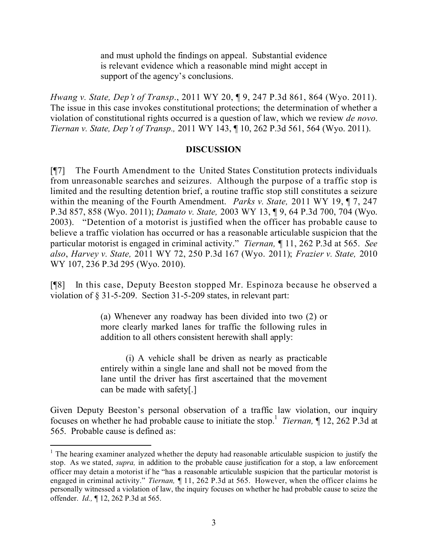and must uphold the findings on appeal. Substantial evidence is relevant evidence which a reasonable mind might accept in support of the agency's conclusions.

*Hwang v. State, Dep't of Transp*., 2011 WY 20, ¶ 9, 247 P.3d 861, 864 (Wyo. 2011). The issue in this case invokes constitutional protections; the determination of whether a violation of constitutional rights occurred is a question of law, which we review *de novo*. *Tiernan v. State, Dep't of Transp.,* 2011 WY 143, ¶ 10, 262 P.3d 561, 564 (Wyo. 2011).

### **DISCUSSION**

[¶7] The Fourth Amendment to the United States Constitution protects individuals from unreasonable searches and seizures. Although the purpose of a traffic stop is limited and the resulting detention brief, a routine traffic stop still constitutes a seizure within the meaning of the Fourth Amendment. *Parks v. State,* 2011 WY 19, ¶ 7, 247 P.3d 857, 858 (Wyo. 2011); *Damato v. State,* 2003 WY 13, ¶ 9, 64 P.3d 700, 704 (Wyo. 2003). "Detention of a motorist is justified when the officer has probable cause to believe a traffic violation has occurred or has a reasonable articulable suspicion that the particular motorist is engaged in criminal activity." *Tiernan,* ¶ 11, 262 P.3d at 565. *See also*, *Harvey v. State,* 2011 WY 72, 250 P.3d 167 (Wyo. 2011); *Frazier v. State,* 2010 WY 107, 236 P.3d 295 (Wyo. 2010).

[¶8] In this case, Deputy Beeston stopped Mr. Espinoza because he observed a violation of § 31-5-209. Section 31-5-209 states, in relevant part:

> (a) Whenever any roadway has been divided into two (2) or more clearly marked lanes for traffic the following rules in addition to all others consistent herewith shall apply:

> (i) A vehicle shall be driven as nearly as practicable entirely within a single lane and shall not be moved from the lane until the driver has first ascertained that the movement can be made with safety[.]

Given Deputy Beeston's personal observation of a traffic law violation, our inquiry focuses on whether he had probable cause to initiate the stop.<sup>1</sup> *Tiernan*, ¶ 12, 262 P.3d at 565. Probable cause is defined as:

 $1$  The hearing examiner analyzed whether the deputy had reasonable articulable suspicion to justify the stop. As we stated, *supra,* in addition to the probable cause justification for a stop, a law enforcement officer may detain a motorist if he "has a reasonable articulable suspicion that the particular motorist is engaged in criminal activity." *Tiernan,* ¶ 11, 262 P.3d at 565. However, when the officer claims he personally witnessed a violation of law, the inquiry focuses on whether he had probable cause to seize the offender. *Id.,* ¶ 12, 262 P.3d at 565.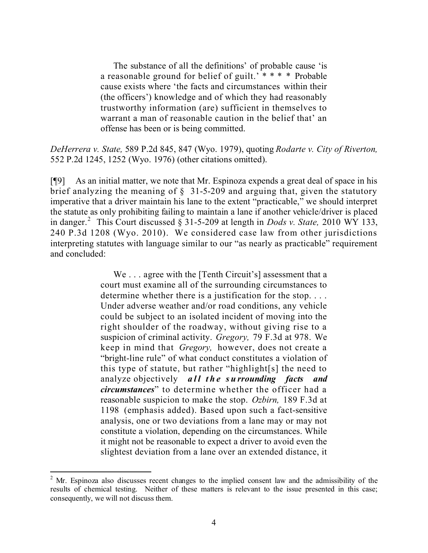The substance of all the definitions' of probable cause 'is a reasonable ground for belief of guilt.<sup> $***$ </sup> Probable cause exists where 'the facts and circumstances within their (the officers') knowledge and of which they had reasonably trustworthy information (are) sufficient in themselves to warrant a man of reasonable caution in the belief that' an offense has been or is being committed.

*DeHerrera v. State,* 589 P.2d 845, 847 (Wyo. 1979), quoting *Rodarte v. City of Riverton,* 552 P.2d 1245, 1252 (Wyo. 1976) (other citations omitted).

[¶9] As an initial matter, we note that Mr. Espinoza expends a great deal of space in his brief analyzing the meaning of § 31-5-209 and arguing that, given the statutory imperative that a driver maintain his lane to the extent "practicable," we should interpret the statute as only prohibiting failing to maintain a lane if another vehicle/driver is placed in danger.<sup>2</sup> This Court discussed § 31-5-209 at length in *Dods v. State,* 2010 WY 133, 240 P.3d 1208 (Wyo. 2010). We considered case law from other jurisdictions interpreting statutes with language similar to our "as nearly as practicable" requirement and concluded:

> We . . . agree with the [Tenth Circuit's] assessment that a court must examine all of the surrounding circumstances to determine whether there is a justification for the stop. . . . Under adverse weather and/or road conditions, any vehicle could be subject to an isolated incident of moving into the right shoulder of the roadway, without giving rise to a suspicion of criminal activity. *Gregory,* 79 F.3d at 978. We keep in mind that *Gregory,* however, does not create a "bright-line rule" of what conduct constitutes a violation of this type of statute, but rather "highlight[s] the need to analyze objectively *all the surrounding facts and circumstances*" to determine whether the officer had a reasonable suspicion to make the stop. *Ozbirn,* 189 F.3d at 1198 (emphasis added). Based upon such a fact-sensitive analysis, one or two deviations from a lane may or may not constitute a violation, depending on the circumstances. While it might not be reasonable to expect a driver to avoid even the slightest deviation from a lane over an extended distance, it

<sup>&</sup>lt;sup>2</sup> Mr. Espinoza also discusses recent changes to the implied consent law and the admissibility of the results of chemical testing. Neither of these matters is relevant to the issue presented in this case; consequently, we will not discuss them.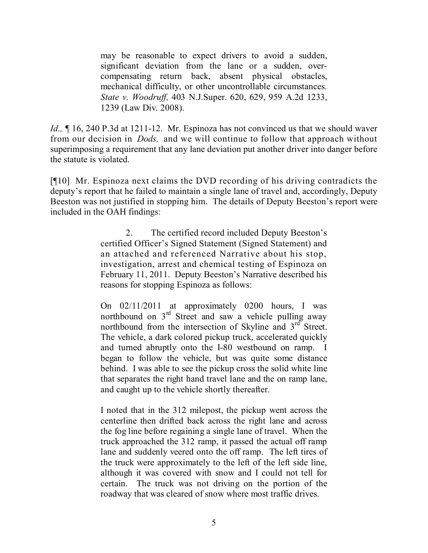may be reasonable to expect drivers to avoid a sudden, significant deviation from the lane or a sudden, overcompensating return back, absent physical obstacles, mechanical difficulty, or other uncontrollable circumstances. *State v. Woodruff,* 403 N.J.Super. 620, 629, 959 A.2d 1233, 1239 (Law Div. 2008).

*Id.*,  $\sim$  16, 240 P.3d at 1211-12. Mr. Espinoza has not convinced us that we should waver from our decision in *Dods,* and we will continue to follow that approach without superimposing a requirement that any lane deviation put another driver into danger before the statute is violated.

[¶10] Mr. Espinoza next claims the DVD recording of his driving contradicts the deputy's report that he failed to maintain a single lane of travel and, accordingly, Deputy Beeston was not justified in stopping him. The details of Deputy Beeston's report were included in the OAH findings:

> 2. The certified record included Deputy Beeston's certified Officer's Signed Statement (Signed Statement) and an attached and referenced Narrative about his stop, investigation, arrest and chemical testing of Espinoza on February 11, 2011. Deputy Beeston's Narrative described his reasons for stopping Espinoza as follows:

> On 02/11/2011 at approximately 0200 hours, I was northbound on  $3<sup>rd</sup>$  Street and saw a vehicle pulling away northbound from the intersection of Skyline and  $3<sup>rd</sup>$  Street. The vehicle, a dark colored pickup truck, accelerated quickly and turned abruptly onto the I-80 westbound on ramp. I began to follow the vehicle, but was quite some distance behind. I was able to see the pickup cross the solid white line that separates the right hand travel lane and the on ramp lane, and caught up to the vehicle shortly thereafter.

> I noted that in the 312 milepost, the pickup went across the centerline then drifted back across the right lane and across the fog line before regaining a single lane of travel. When the truck approached the 312 ramp, it passed the actual off ramp lane and suddenly veered onto the off ramp. The left tires of the truck were approximately to the left of the left side line, although it was covered with snow and I could not tell for certain. The truck was not driving on the portion of the roadway that was cleared of snow where most traffic drives.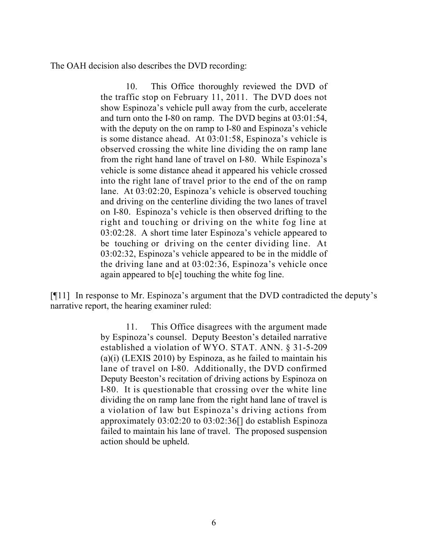The OAH decision also describes the DVD recording:

10. This Office thoroughly reviewed the DVD of the traffic stop on February 11, 2011. The DVD does not show Espinoza's vehicle pull away from the curb, accelerate and turn onto the I-80 on ramp. The DVD begins at 03:01:54, with the deputy on the on ramp to I-80 and Espinoza's vehicle is some distance ahead. At 03:01:58, Espinoza's vehicle is observed crossing the white line dividing the on ramp lane from the right hand lane of travel on I-80. While Espinoza's vehicle is some distance ahead it appeared his vehicle crossed into the right lane of travel prior to the end of the on ramp lane. At 03:02:20, Espinoza's vehicle is observed touching and driving on the centerline dividing the two lanes of travel on I-80. Espinoza's vehicle is then observed drifting to the right and touching or driving on the white fog line at 03:02:28. A short time later Espinoza's vehicle appeared to be touching or driving on the center dividing line. At 03:02:32, Espinoza's vehicle appeared to be in the middle of the driving lane and at 03:02:36, Espinoza's vehicle once again appeared to b[e] touching the white fog line.

[¶11] In response to Mr. Espinoza's argument that the DVD contradicted the deputy's narrative report, the hearing examiner ruled:

> 11. This Office disagrees with the argument made by Espinoza's counsel. Deputy Beeston's detailed narrative established a violation of WYO. STAT. ANN. § 31-5-209 (a)(i) (LEXIS 2010) by Espinoza, as he failed to maintain his lane of travel on I-80. Additionally, the DVD confirmed Deputy Beeston's recitation of driving actions by Espinoza on I-80. It is questionable that crossing over the white line dividing the on ramp lane from the right hand lane of travel is a violation of law but Espinoza's driving actions from approximately 03:02:20 to 03:02:36[] do establish Espinoza failed to maintain his lane of travel. The proposed suspension action should be upheld.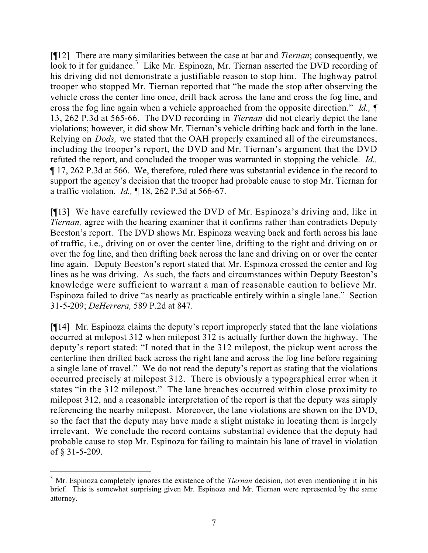[¶12] There are many similarities between the case at bar and *Tiernan*; consequently, we look to it for guidance.<sup>3</sup> Like Mr. Espinoza, Mr. Tiernan asserted the DVD recording of his driving did not demonstrate a justifiable reason to stop him. The highway patrol trooper who stopped Mr. Tiernan reported that "he made the stop after observing the vehicle cross the center line once, drift back across the lane and cross the fog line, and cross the fog line again when a vehicle approached from the opposite direction." *Id.,* ¶ 13, 262 P.3d at 565-66. The DVD recording in *Tiernan* did not clearly depict the lane violations; however, it did show Mr. Tiernan's vehicle drifting back and forth in the lane. Relying on *Dods,* we stated that the OAH properly examined all of the circumstances, including the trooper's report, the DVD and Mr. Tiernan's argument that the DVD refuted the report, and concluded the trooper was warranted in stopping the vehicle. *Id.,*  ¶ 17, 262 P.3d at 566. We, therefore, ruled there was substantial evidence in the record to support the agency's decision that the trooper had probable cause to stop Mr. Tiernan for a traffic violation. *Id.,* ¶ 18, 262 P.3d at 566-67.

[¶13] We have carefully reviewed the DVD of Mr. Espinoza's driving and, like in *Tiernan,* agree with the hearing examiner that it confirms rather than contradicts Deputy Beeston's report. The DVD shows Mr. Espinoza weaving back and forth across his lane of traffic, i.e., driving on or over the center line, drifting to the right and driving on or over the fog line, and then drifting back across the lane and driving on or over the center line again. Deputy Beeston's report stated that Mr. Espinoza crossed the center and fog lines as he was driving. As such, the facts and circumstances within Deputy Beeston's knowledge were sufficient to warrant a man of reasonable caution to believe Mr. Espinoza failed to drive "as nearly as practicable entirely within a single lane." Section 31-5-209; *DeHerrera,* 589 P.2d at 847.

[¶14] Mr. Espinoza claims the deputy's report improperly stated that the lane violations occurred at milepost 312 when milepost 312 is actually further down the highway. The deputy's report stated: "I noted that in the 312 milepost, the pickup went across the centerline then drifted back across the right lane and across the fog line before regaining a single lane of travel." We do not read the deputy's report as stating that the violations occurred precisely at milepost 312. There is obviously a typographical error when it states "in the 312 milepost." The lane breaches occurred within close proximity to milepost 312, and a reasonable interpretation of the report is that the deputy was simply referencing the nearby milepost. Moreover, the lane violations are shown on the DVD, so the fact that the deputy may have made a slight mistake in locating them is largely irrelevant. We conclude the record contains substantial evidence that the deputy had probable cause to stop Mr. Espinoza for failing to maintain his lane of travel in violation of § 31-5-209.

 <sup>3</sup> Mr. Espinoza completely ignores the existence of the *Tiernan* decision, not even mentioning it in his brief. This is somewhat surprising given Mr. Espinoza and Mr. Tiernan were represented by the same attorney.